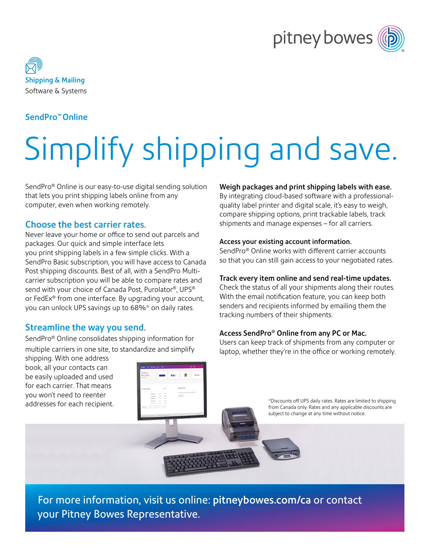



# SendPro™ Online

# Simplify shipping and save.

SendPro® Online is our easy-to-use digital sending solution that lets you print shipping labels online from any computer, even when working remotely.

# Choose the best carrier rates.

Never leave your home or office to send out parcels and packages. Our quick and simple interface lets you print shipping labels in a few simple clicks. With a SendPro Basic subscription, you will have access to Canada Post shipping discounts. Best of all, with a SendPro Multicarrier subscription you will be able to compare rates and send with your choice of Canada Post, Purolator®, UPS® or FedEx® from one interface. By upgrading your account, you can unlock UPS savings up to 68%\* on daily rates.

# Streamline the way you send.

SendPro® Online consolidates shipping information for multiple carriers in one site, to standardize and simplify

shipping. With one address book, all your contacts can be easily uploaded and used for each carrier. That means you won't need to reenter addresses for each recipient.



## Weigh packages and print shipping labels with ease.

By integrating cloud-based software with a professionalquality label printer and digital scale, it's easy to weigh, compare shipping options, print trackable labels, track shipments and manage expenses – for all carriers.

## Access your existing account information.

SendPro® Online works with different carrier accounts so that you can still gain access to your negotiated rates.

# Track every item online and send real-time updates.

Check the status of all your shipments along their routes. With the email notification feature, you can keep both senders and recipients informed by emailing them the tracking numbers of their shipments.

# Access SendPro® Online from any PC or Mac.

Users can keep track of shipments from any computer or laptop, whether they're in the office or working remotely.

> \*Discounts off UPS daily rates. Rates are limited to shipping from Canada only. Rates and any applicable discounts are subject to change at any time without notice.

For more information, visit us online: [pitneybowes.com/ca](http://pitneybowes.com/ca) or contact your Pitney Bowes Representative[.](http://pitneybowes.com/ca)